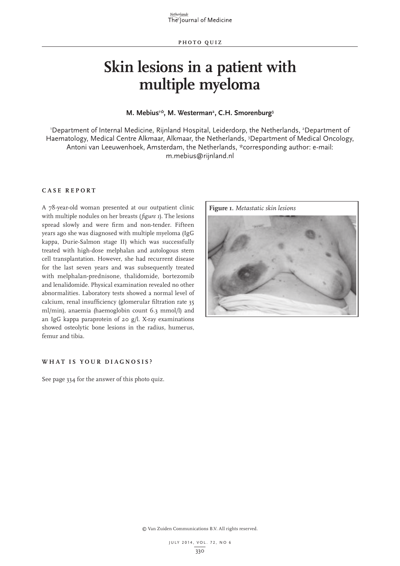# **Skin lesions in a patient with multiple myeloma**

## M. Mebius<sup>1;</sup>, M. Westerman<sup>2</sup>, C.H. Smorenburg<sup>3</sup>

'Department of Internal Medicine, Rijnland Hospital, Leiderdorp, the Netherlands, <sup>2</sup>Department of Haematology, Medical Centre Alkmaar, Alkmaar, the Netherlands, <sup>3</sup>Department of Medical Oncology, Antoni van Leeuwenhoek, Amsterdam, the Netherlands, \*corresponding author: e-mail: m.mebius@rijnland.nl

## **CASE REPORT**

A 78-year-old woman presented at our outpatient clinic with multiple nodules on her breasts (*figure 1*). The lesions spread slowly and were firm and non-tender. Fifteen years ago she was diagnosed with multiple myeloma (IgG kappa, Durie-Salmon stage II) which was successfully treated with high-dose melphalan and autologous stem cell transplantation. However, she had recurrent disease for the last seven years and was subsequently treated with melphalan-prednisone, thalidomide, bortezomib and lenalidomide. Physical examination revealed no other abnormalities. Laboratory tests showed a normal level of calcium, renal insufficiency (glomerular filtration rate 35 ml/min), anaemia (haemoglobin count 6.3 mmol/l) and an IgG kappa paraprotein of 20 g/l. X-ray examinations showed osteolytic bone lesions in the radius, humerus, femur and tibia.

### **WHAT IS YOUR DIAGNOSIS?**

See page 334 for the answer of this photo quiz.